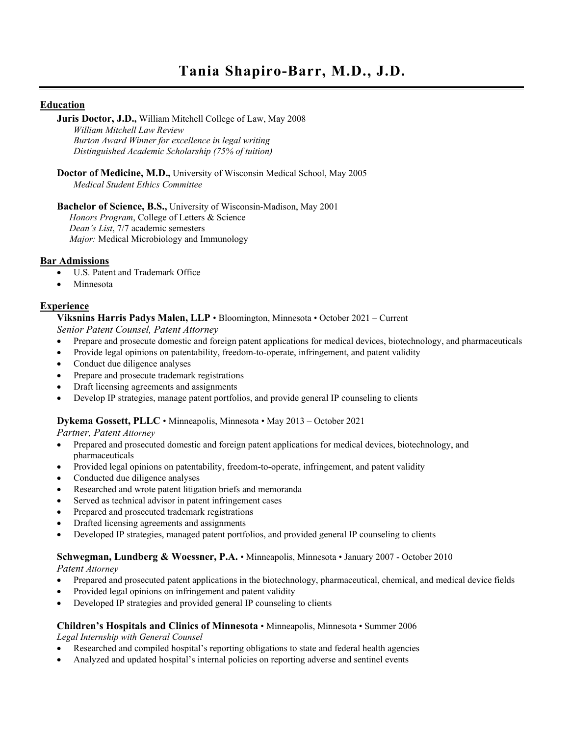# **Education**

**Juris Doctor, J.D.,** William Mitchell College of Law, May 2008 *William Mitchell Law Review Burton Award Winner for excellence in legal writing Distinguished Academic Scholarship (75% of tuition)*

**Doctor of Medicine, M.D.,** University of Wisconsin Medical School, May 2005 *Medical Student Ethics Committee*

**Bachelor of Science, B.S.,** University of Wisconsin-Madison, May 2001 *Honors Program*, College of Letters & Science *Dean's List*, 7/7 academic semesters *Major:* Medical Microbiology and Immunology

# **Bar Admissions**

- U.S. Patent and Trademark Office
- Minnesota

# **Experience**

**Viksnins Harris Padys Malen, LLP** • Bloomington, Minnesota • October 2021 – Current

*Senior Patent Counsel, Patent Attorney*

- Prepare and prosecute domestic and foreign patent applications for medical devices, biotechnology, and pharmaceuticals
- Provide legal opinions on patentability, freedom-to-operate, infringement, and patent validity
- Conduct due diligence analyses
- Prepare and prosecute trademark registrations
- Draft licensing agreements and assignments
- Develop IP strategies, manage patent portfolios, and provide general IP counseling to clients

#### **Dykema Gossett, PLLC** • Minneapolis, Minnesota • May 2013 – October 2021

*Partner, Patent Attorney*

- Prepared and prosecuted domestic and foreign patent applications for medical devices, biotechnology, and pharmaceuticals
- Provided legal opinions on patentability, freedom-to-operate, infringement, and patent validity
- Conducted due diligence analyses
- Researched and wrote patent litigation briefs and memoranda
- Served as technical advisor in patent infringement cases
- Prepared and prosecuted trademark registrations
- Drafted licensing agreements and assignments
- Developed IP strategies, managed patent portfolios, and provided general IP counseling to clients

#### **Schwegman, Lundberg & Woessner, P.A.** • Minneapolis, Minnesota • January 2007 - October 2010

*Patent Attorney*

- Prepared and prosecuted patent applications in the biotechnology, pharmaceutical, chemical, and medical device fields
- Provided legal opinions on infringement and patent validity
- Developed IP strategies and provided general IP counseling to clients

#### **Children's Hospitals and Clinics of Minnesota** • Minneapolis, Minnesota • Summer 2006

*Legal Internship with General Counsel*

- Researched and compiled hospital's reporting obligations to state and federal health agencies
- Analyzed and updated hospital's internal policies on reporting adverse and sentinel events